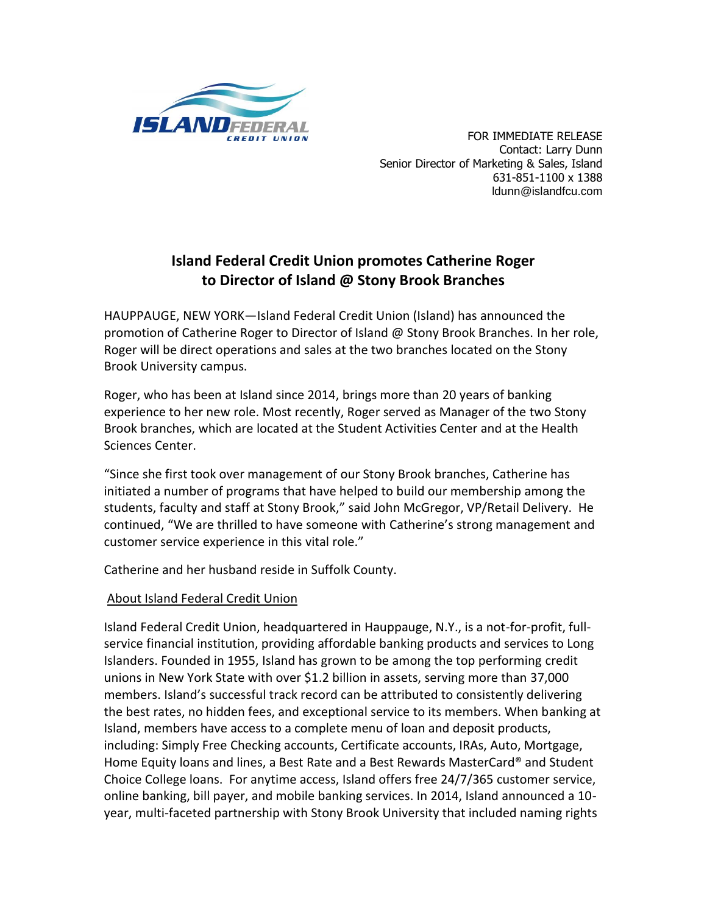

 FOR IMMEDIATE RELEASE Contact: Larry Dunn Senior Director of Marketing & Sales, Island 631-851-1100 x 1388 ldunn@islandfcu.com

## **Island Federal Credit Union promotes Catherine Roger to Director of Island @ Stony Brook Branches**

HAUPPAUGE, NEW YORK—Island Federal Credit Union (Island) has announced the promotion of Catherine Roger to Director of Island @ Stony Brook Branches. In her role, Roger will be direct operations and sales at the two branches located on the Stony Brook University campus.

Roger, who has been at Island since 2014, brings more than 20 years of banking experience to her new role. Most recently, Roger served as Manager of the two Stony Brook branches, which are located at the Student Activities Center and at the Health Sciences Center.

"Since she first took over management of our Stony Brook branches, Catherine has initiated a number of programs that have helped to build our membership among the students, faculty and staff at Stony Brook," said John McGregor, VP/Retail Delivery. He continued, "We are thrilled to have someone with Catherine's strong management and customer service experience in this vital role."

Catherine and her husband reside in Suffolk County.

## About Island Federal Credit Union

Island Federal Credit Union, headquartered in Hauppauge, N.Y., is a not-for-profit, fullservice financial institution, providing affordable banking products and services to Long Islanders. Founded in 1955, Island has grown to be among the top performing credit unions in New York State with over \$1.2 billion in assets, serving more than 37,000 members. Island's successful track record can be attributed to consistently delivering the best rates, no hidden fees, and exceptional service to its members. When banking at Island, members have access to a complete menu of loan and deposit products, including: Simply Free Checking accounts, Certificate accounts, IRAs, Auto, Mortgage, Home Equity loans and lines, a Best Rate and a Best Rewards MasterCard® and Student Choice College loans. For anytime access, Island offers free 24/7/365 customer service, online banking, bill payer, and mobile banking services. In 2014, Island announced a 10 year, multi-faceted partnership with Stony Brook University that included naming rights